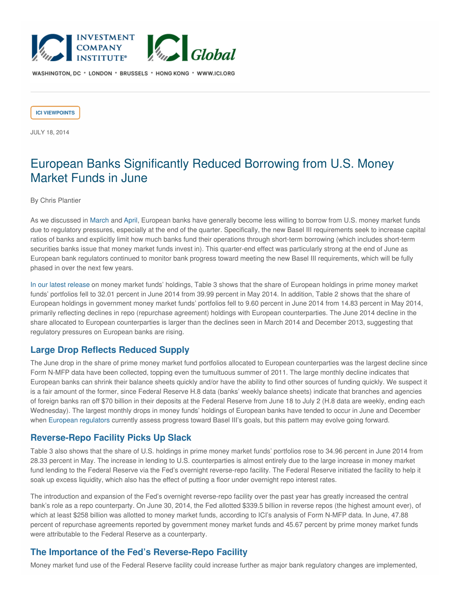

WASHINGTON, DC \* LONDON \* BRUSSELS \* HONG KONG \* WWW.ICI.ORG

**ICI [VIEWPOINTS](https://www.ici.org/taxonomy/term/121)**

JULY 18, 2014

# European Banks Significantly Reduced Borrowing from U.S. Money Market Funds in June

### By Chris Plantier

As we discussed in [March](http://www.ici.org/viewpoints/view_14_nmfp_03) and [April](http://www.ici.org/viewpoints/view_14_nmfp_04), European banks have generally become less willing to borrow from U.S. money market funds due to regulatory pressures, especially at the end of the quarter. Specifically, the new Basel III requirements seek to increase capital ratios of banks and explicitly limit how much banks fund their operations through short-term borrowing (which includes short-term securities banks issue that money market funds invest in). This quarter-end effect was particularly strong at the end of June as European bank regulators continued to monitor bank progress toward meeting the new Basel III requirements, which will be fully phased in over the next few years.

In our latest [release](http://www.ici.org/research/stats/mmfsummary) on money market funds' holdings, Table 3 shows that the share of European holdings in prime money market funds' portfolios fell to 32.01 percent in June 2014 from 39.99 percent in May 2014. In addition, Table 2 shows that the share of European holdings in government money market funds' portfolios fell to 9.60 percent in June 2014 from 14.83 percent in May 2014, primarily reflecting declines in repo (repurchase agreement) holdings with European counterparties. The June 2014 decline in the share allocated to European counterparties is larger than the declines seen in March 2014 and December 2013, suggesting that regulatory pressures on European banks are rising.

## **Large Drop Reflects Reduced Supply**

The June drop in the share of prime money market fund portfolios allocated to European counterparties was the largest decline since Form N-MFP data have been collected, topping even the tumultuous summer of 2011. The large monthly decline indicates that European banks can shrink their balance sheets quickly and/or have the ability to find other sources of funding quickly. We suspect it is a fair amount of the former, since Federal Reserve H.8 data (banks' weekly balance sheets) indicate that branches and agencies of foreign banks ran off \$70 billion in their deposits at the Federal Reserve from June 18 to July 2 (H.8 data are weekly, ending each Wednesday). The largest monthly drops in money funds' holdings of European banks have tended to occur in June and December when European [regulators](https://www.eba.europa.eu/risk-analysis-and-data/quantitative-impact-study/basel-iii-monitoring-exercise) currently assess progress toward Basel III's goals, but this pattern may evolve going forward.

## **Reverse-Repo Facility Picks Up Slack**

Table 3 also shows that the share of U.S. holdings in prime money market funds' portfolios rose to 34.96 percent in June 2014 from 28.33 percent in May. The increase in lending to U.S. counterparties is almost entirely due to the large increase in money market fund lending to the Federal Reserve via the Fed's overnight reverse-repo facility. The Federal Reserve initiated the facility to help it soak up excess liquidity, which also has the effect of putting a floor under overnight repo interest rates.

The introduction and expansion of the Fed's overnight reverse-repo facility over the past year has greatly increased the central bank's role as a repo counterparty. On June 30, 2014, the Fed allotted \$339.5 billion in reverse repos (the highest amount ever), of which at least \$258 billion was allotted to money market funds, according to ICI's analysis of Form N-MFP data. In June, 47.88 percent of repurchase agreements reported by government money market funds and 45.67 percent by prime money market funds were attributable to the Federal Reserve as a counterparty.

## **The Importance of the Fed's Reverse-Repo Facility**

Money market fund use of the Federal Reserve facility could increase further as major bank regulatory changes are implemented,